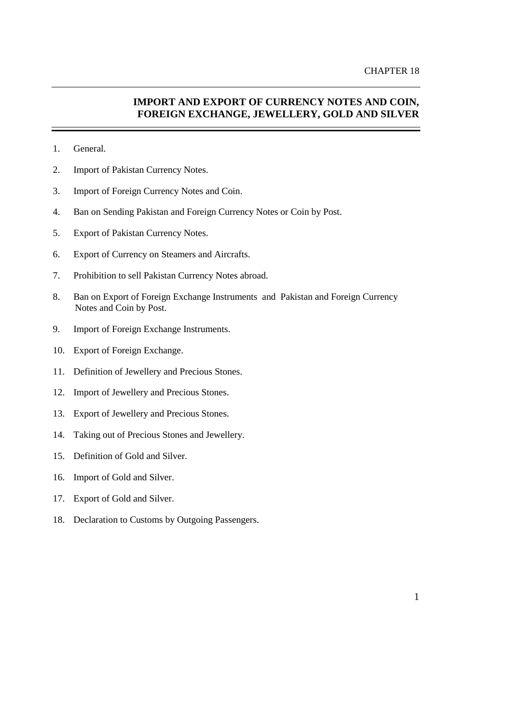# **IMPORT AND EXPORT OF CURRENCY NOTES AND COIN, FOREIGN EXCHANGE, JEWELLERY, GOLD AND SILVER**

- 1. General.
- 2. Import of Pakistan Currency Notes.
- 3. Import of Foreign Currency Notes and Coin.
- 4. Ban on Sending Pakistan and Foreign Currency Notes or Coin by Post.
- 5. Export of Pakistan Currency Notes.
- 6. Export of Currency on Steamers and Aircrafts.
- 7. Prohibition to sell Pakistan Currency Notes abroad.
- 8. Ban on Export of Foreign Exchange Instruments and Pakistan and Foreign Currency Notes and Coin by Post.
- 9. Import of Foreign Exchange Instruments.
- 10. Export of Foreign Exchange.
- 11. Definition of Jewellery and Precious Stones.
- 12. Import of Jewellery and Precious Stones.
- 13. Export of Jewellery and Precious Stones.
- 14. Taking out of Precious Stones and Jewellery.
- 15. Definition of Gold and Silver.
- 16. Import of Gold and Silver.
- 17. Export of Gold and Silver.
- 18. Declaration to Customs by Outgoing Passengers.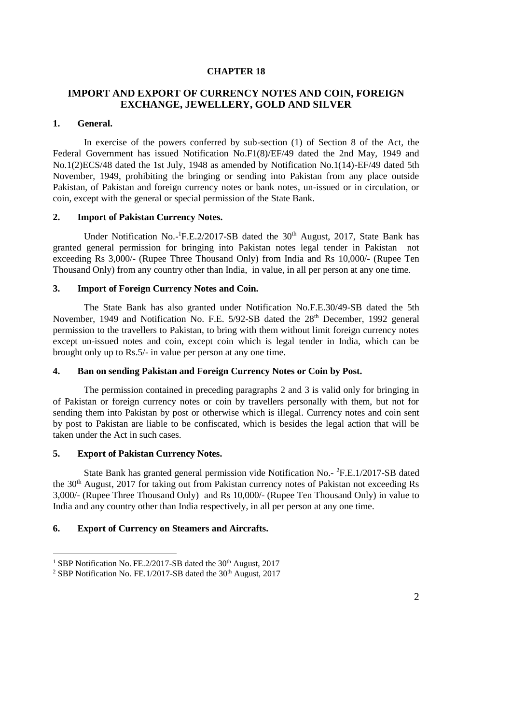# **CHAPTER 18**

# **IMPORT AND EXPORT OF CURRENCY NOTES AND COIN, FOREIGN EXCHANGE, JEWELLERY, GOLD AND SILVER**

#### **1. General.**

In exercise of the powers conferred by sub-section (1) of Section 8 of the Act, the Federal Government has issued Notification No.F1(8)/EF/49 dated the 2nd May, 1949 and No.1(2)ECS/48 dated the 1st July, 1948 as amended by Notification No.1(14)-EF/49 dated 5th November, 1949, prohibiting the bringing or sending into Pakistan from any place outside Pakistan, of Pakistan and foreign currency notes or bank notes, un-issued or in circulation, or coin, except with the general or special permission of the State Bank.

#### **2. Import of Pakistan Currency Notes.**

Under Notification No.-<sup>1</sup>F.E.2/2017-SB dated the 30<sup>th</sup> August, 2017, State Bank has granted general permission for bringing into Pakistan notes legal tender in Pakistan not exceeding Rs 3,000/- (Rupee Three Thousand Only) from India and Rs 10,000/- (Rupee Ten Thousand Only) from any country other than India, in value, in all per person at any one time.

# **3. Import of Foreign Currency Notes and Coin.**

The State Bank has also granted under Notification No.F.E.30/49-SB dated the 5th November, 1949 and Notification No. F.E. 5/92-SB dated the 28<sup>th</sup> December, 1992 general permission to the travellers to Pakistan, to bring with them without limit foreign currency notes except un-issued notes and coin, except coin which is legal tender in India, which can be brought only up to Rs.5/- in value per person at any one time.

## **4. Ban on sending Pakistan and Foreign Currency Notes or Coin by Post.**

The permission contained in preceding paragraphs [2](file:///C:/Users/faheemuddin/AppData/Local/Microsoft/Windows/Temporary%20Internet%20Files/Content.Outlook/chapter18.htm%23bullet2) and [3](file:///C:/Users/faheemuddin/AppData/Local/Microsoft/Windows/Temporary%20Internet%20Files/Content.Outlook/chapter18.htm%23bullet3) is valid only for bringing in of Pakistan or foreign currency notes or coin by travellers personally with them, but not for sending them into Pakistan by post or otherwise which is illegal. Currency notes and coin sent by post to Pakistan are liable to be confiscated, which is besides the legal action that will be taken under the Act in such cases.

#### **5. Export of Pakistan Currency Notes.**

 $\overline{a}$ 

State Bank has granted general permission vide Notification No.- <sup>2</sup>F.E.1/2017-SB dated the 30<sup>th</sup> August, 2017 for taking out from Pakistan currency notes of Pakistan not exceeding Rs 3,000/- (Rupee Three Thousand Only) and Rs 10,000/- (Rupee Ten Thousand Only) in value to India and any country other than India respectively, in all per person at any one time.

#### **6. Export of Currency on Steamers and Aircrafts.**

<sup>&</sup>lt;sup>1</sup> SBP Notification No. FE.2/2017-SB dated the  $30<sup>th</sup>$  August, 2017

<sup>&</sup>lt;sup>2</sup> SBP Notification No. FE.1/2017-SB dated the  $30<sup>th</sup>$  August, 2017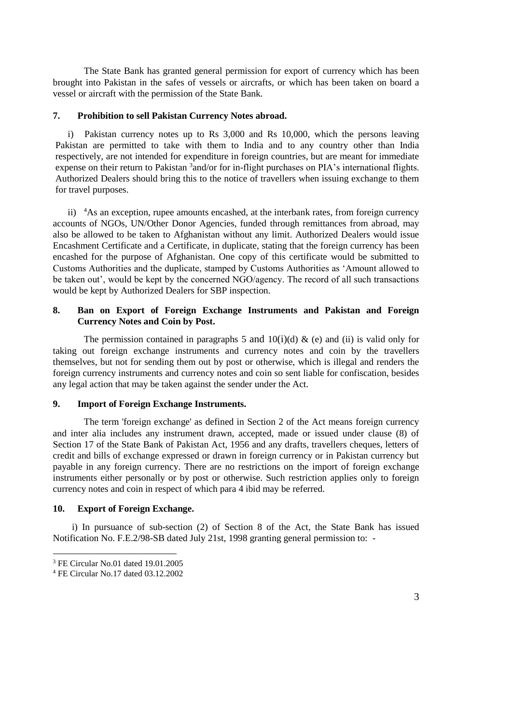The State Bank has granted general permission for export of currency which has been brought into Pakistan in the safes of vessels or aircrafts, or which has been taken on board a vessel or aircraft with the permission of the State Bank.

#### **7. Prohibition to sell Pakistan Currency Notes abroad.**

i) Pakistan currency notes up to Rs 3,000 and Rs 10,000, which the persons leaving Pakistan are permitted to take with them to India and to any country other than India respectively, are not intended for expenditure in foreign countries, but are meant for immediate expense on their return to Pakistan <sup>3</sup> and/or for in-flight purchases on PIA's international flights. Authorized Dealers should bring this to the notice of travellers when issuing exchange to them for travel purposes.

ii) <sup>4</sup>As an exception, rupee amounts encashed, at the interbank rates, from foreign currency accounts of NGOs, UN/Other Donor Agencies, funded through remittances from abroad, may also be allowed to be taken to Afghanistan without any limit. Authorized Dealers would issue Encashment Certificate and a Certificate, in duplicate, stating that the foreign currency has been encashed for the purpose of Afghanistan. One copy of this certificate would be submitted to Customs Authorities and the duplicate, stamped by Customs Authorities as 'Amount allowed to be taken out', would be kept by the concerned NGO/agency. The record of all such transactions would be kept by Authorized Dealers for SBP inspection.

# **8. Ban on Export of Foreign Exchange Instruments and Pakistan and Foreign Currency Notes and Coin by Post.**

The permission contained in paragraphs [5](file:///C:/Users/faheemuddin/AppData/Local/Microsoft/Windows/Temporary%20Internet%20Files/Content.Outlook/chapter18.htm%23bullet5) and [10](file:///C:/Users/faheemuddin/AppData/Local/Microsoft/Windows/Temporary%20Internet%20Files/Content.Outlook/chapter18.htm%23bullet6)(i)(d) & (e) and (ii) is valid only for taking out foreign exchange instruments and currency notes and coin by the travellers themselves, but not for sending them out by post or otherwise, which is illegal and renders the foreign currency instruments and currency notes and coin so sent liable for confiscation, besides any legal action that may be taken against the sender under the Act.

## **9. Import of Foreign Exchange Instruments.**

The term 'foreign exchange' as defined in Section 2 of the Act means foreign currency and inter alia includes any instrument drawn, accepted, made or issued under clause (8) of Section 17 of the State Bank of Pakistan Act, 1956 and any drafts, travellers cheques, letters of credit and bills of exchange expressed or drawn in foreign currency or in Pakistan currency but payable in any foreign currency. There are no restrictions on the import of foreign exchange instruments either personally or by post or otherwise. Such restriction applies only to foreign currency notes and coin in respect of which para 4 ibid may be referred.

#### **10. Export of Foreign Exchange.**

 i) In pursuance of sub-section (2) of Section 8 of the Act, the State Bank has issued Notification No. F.E.2/98-SB dated July 21st, 1998 granting general permission to: -

 $\overline{a}$ 

<sup>3</sup> FE Circular No.01 dated 19.01.2005

<sup>4</sup> FE Circular No.17 dated 03.12.2002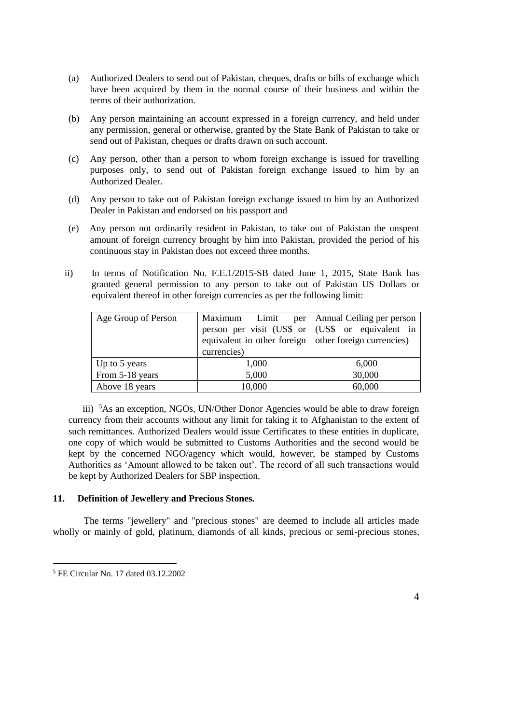- (a) Authorized Dealers to send out of Pakistan, cheques, drafts or bills of exchange which have been acquired by them in the normal course of their business and within the terms of their authorization.
- (b) Any person maintaining an account expressed in a foreign currency, and held under any permission, general or otherwise, granted by the State Bank of Pakistan to take or send out of Pakistan, cheques or drafts drawn on such account.
- (c) Any person, other than a person to whom foreign exchange is issued for travelling purposes only, to send out of Pakistan foreign exchange issued to him by an Authorized Dealer.
- (d) Any person to take out of Pakistan foreign exchange issued to him by an Authorized Dealer in Pakistan and endorsed on his passport and
- (e) Any person not ordinarily resident in Pakistan, to take out of Pakistan the unspent amount of foreign currency brought by him into Pakistan, provided the period of his continuous stay in Pakistan does not exceed three months.
- ii) In terms of Notification No. F.E.1/2015-SB dated June 1, 2015, State Bank has granted general permission to any person to take out of Pakistan US Dollars or equivalent thereof in other foreign currencies as per the following limit:

| Age Group of Person | Maximum<br>Limit                                        | per   Annual Ceiling per person |
|---------------------|---------------------------------------------------------|---------------------------------|
|                     | person per visit (US\$ or   (US\$ or equivalent in      |                                 |
|                     | equivalent in other foreign   other foreign currencies) |                                 |
|                     | currencies)                                             |                                 |
| Up to 5 years       | 1,000                                                   | 6,000                           |
| From 5-18 years     | 5,000                                                   | 30,000                          |
| Above 18 years      | 10,000                                                  | 60,000                          |

 iii) <sup>5</sup>As an exception, NGOs, UN/Other Donor Agencies would be able to draw foreign currency from their accounts without any limit for taking it to Afghanistan to the extent of such remittances. Authorized Dealers would issue Certificates to these entities in duplicate, one copy of which would be submitted to Customs Authorities and the second would be kept by the concerned NGO/agency which would, however, be stamped by Customs Authorities as 'Amount allowed to be taken out'. The record of all such transactions would be kept by Authorized Dealers for SBP inspection.

# **11. Definition of Jewellery and Precious Stones.**

The terms "jewellery" and "precious stones" are deemed to include all articles made wholly or mainly of gold, platinum, diamonds of all kinds, precious or semi-precious stones,

 $\overline{a}$ 

<sup>5</sup> FE Circular No. 17 dated 03.12.2002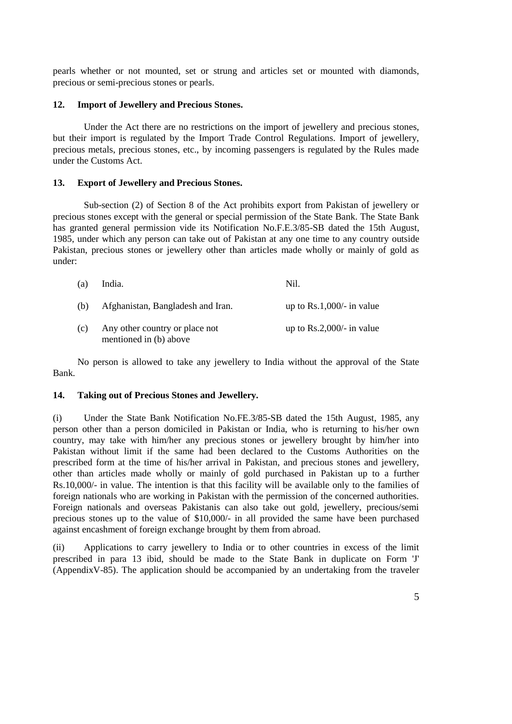pearls whether or not mounted, set or strung and articles set or mounted with diamonds, precious or semi-precious stones or pearls.

## **12. Import of Jewellery and Precious Stones.**

Under the Act there are no restrictions on the import of jewellery and precious stones, but their import is regulated by the Import Trade Control Regulations. Import of jewellery, precious metals, precious stones, etc., by incoming passengers is regulated by the Rules made under the Customs Act.

## **13. Export of Jewellery and Precious Stones.**

Sub-section (2) of Section 8 of the Act prohibits export from Pakistan of jewellery or precious stones except with the general or special permission of the State Bank. The State Bank has granted general permission vide its Notification No.F.E.3/85-SB dated the 15th August, 1985, under which any person can take out of Pakistan at any one time to any country outside Pakistan, precious stones or jewellery other than articles made wholly or mainly of gold as under:

| (a) | India.                                                   | Nil.                               |
|-----|----------------------------------------------------------|------------------------------------|
| (b) | Afghanistan, Bangladesh and Iran.                        | up to $Rs.1,000/-$ in value        |
| (c) | Any other country or place not<br>mentioned in (b) above | up to $\text{Rs}.2,000/-$ in value |

No person is allowed to take any jewellery to India without the approval of the State Bank.

# **14. Taking out of Precious Stones and Jewellery.**

(i) Under the State Bank Notification No.FE.3/85-SB dated the 15th August, 1985, any person other than a person domiciled in Pakistan or India, who is returning to his/her own country, may take with him/her any precious stones or jewellery brought by him/her into Pakistan without limit if the same had been declared to the Customs Authorities on the prescribed form at the time of his/her arrival in Pakistan, and precious stones and jewellery, other than articles made wholly or mainly of gold purchased in Pakistan up to a further Rs.10,000/- in value. The intention is that this facility will be available only to the families of foreign nationals who are working in Pakistan with the permission of the concerned authorities. Foreign nationals and overseas Pakistanis can also take out gold, jewellery, precious/semi precious stones up to the value of \$10,000/- in all provided the same have been purchased against encashment of foreign exchange brought by them from abroad.

(ii) Applications to carry jewellery to India or to other countries in excess of the limit prescribed in para 13 ibid, should be made to the State Bank in duplicate on Form 'J' (AppendixV-85). The application should be accompanied by an undertaking from the traveler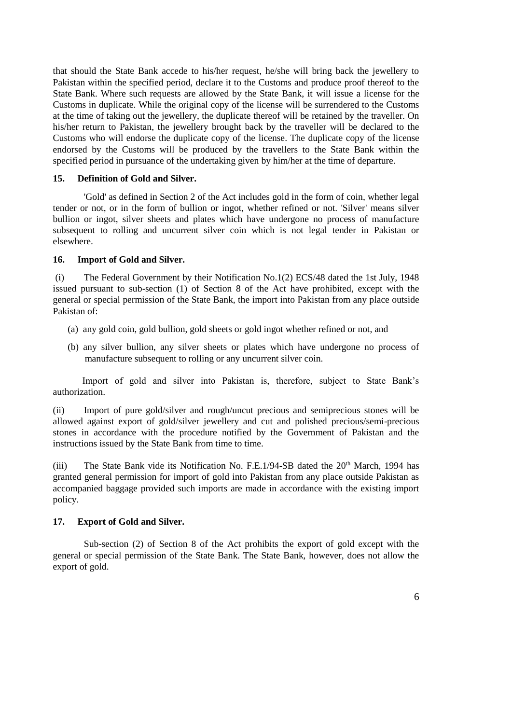that should the State Bank accede to his/her request, he/she will bring back the jewellery to Pakistan within the specified period, declare it to the Customs and produce proof thereof to the State Bank. Where such requests are allowed by the State Bank, it will issue a license for the Customs in duplicate. While the original copy of the license will be surrendered to the Customs at the time of taking out the jewellery, the duplicate thereof will be retained by the traveller. On his/her return to Pakistan, the jewellery brought back by the traveller will be declared to the Customs who will endorse the duplicate copy of the license. The duplicate copy of the license endorsed by the Customs will be produced by the travellers to the State Bank within the specified period in pursuance of the undertaking given by him/her at the time of departure.

# **15. Definition of Gold and Silver.**

'Gold' as defined in Section 2 of the Act includes gold in the form of coin, whether legal tender or not, or in the form of bullion or ingot, whether refined or not. 'Silver' means silver bullion or ingot, silver sheets and plates which have undergone no process of manufacture subsequent to rolling and uncurrent silver coin which is not legal tender in Pakistan or elsewhere.

## **16. Import of Gold and Silver.**

(i) The Federal Government by their Notification No.1(2) ECS/48 dated the 1st July, 1948 issued pursuant to sub-section (1) of Section 8 of the Act have prohibited, except with the general or special permission of the State Bank, the import into Pakistan from any place outside Pakistan of:

- (a) any gold coin, gold bullion, gold sheets or gold ingot whether refined or not, and
- (b) any silver bullion, any silver sheets or plates which have undergone no process of manufacture subsequent to rolling or any uncurrent silver coin.

Import of gold and silver into Pakistan is, therefore, subject to State Bank's authorization.

(ii) Import of pure gold/silver and rough/uncut precious and semiprecious stones will be allowed against export of gold/silver jewellery and cut and polished precious/semi-precious stones in accordance with the procedure notified by the Government of Pakistan and the instructions issued by the State Bank from time to time.

(iii) The State Bank vide its Notification No. F.E.1/94-SB dated the  $20<sup>th</sup>$  March, 1994 has granted general permission for import of gold into Pakistan from any place outside Pakistan as accompanied baggage provided such imports are made in accordance with the existing import policy.

# **17. Export of Gold and Silver.**

Sub-section (2) of Section 8 of the Act prohibits the export of gold except with the general or special permission of the State Bank. The State Bank, however, does not allow the export of gold.